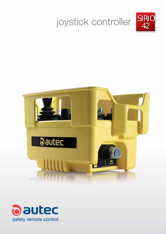

42